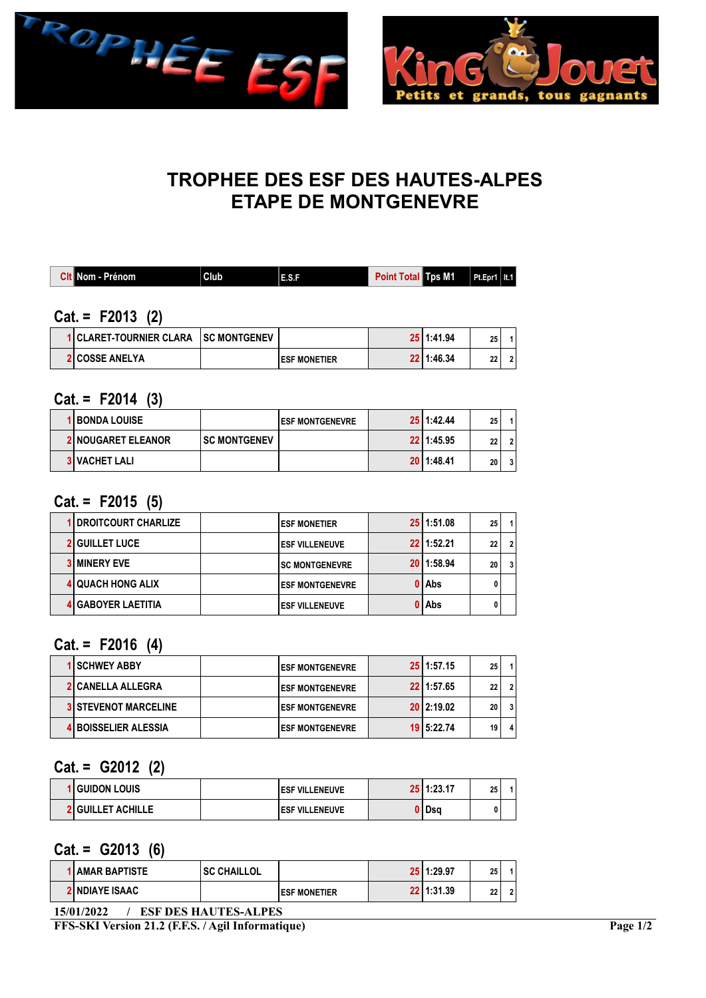



# TROPHEE DES ESF DES HAUTES-ALPES ETAPE DE MONTGENEVRE

| <b>Cit Nom - Prénom</b> | Club <sub>1</sub>    | E.S.F                | Point Total Tos M1 |                | $Pt.Epr1$   It.1 |                |
|-------------------------|----------------------|----------------------|--------------------|----------------|------------------|----------------|
|                         |                      |                      |                    |                |                  |                |
| $Cat = F2013$ (2)       |                      |                      |                    |                |                  |                |
| 1 CLARET-TOURNIER CLARA | <b>ISC MONTGENEV</b> |                      |                    | $25$   1:41.94 | 25               | $\overline{1}$ |
| <b>2 COSSE ANELYA</b>   |                      | <b>IESF MONETIER</b> |                    | 22 1:46.34     | 22               | $\overline{2}$ |

### $Cat. = F2014 (3)$

| <b>1 BONDA LOUISE</b>     |                      | <b>IESF MONTGENEVRE</b> | 25 1:42.44 | 25 |  |
|---------------------------|----------------------|-------------------------|------------|----|--|
| <b>2 NOUGARET ELEANOR</b> | <b>ISC MONTGENEV</b> |                         | 22 1:45.95 | 22 |  |
| <b>3 VACHET LALI</b>      |                      |                         | 20 1:48.41 | 20 |  |

### Cat. = F2015 (5)

| 1 DROITCOURT CHARLIZE     | <b>ESF MONETIER</b>     | 25 1:51.08     | 25 |                |
|---------------------------|-------------------------|----------------|----|----------------|
| <b>2 GUILLET LUCE</b>     | <b>IESF VILLENEUVE</b>  | $22$   1:52.21 | 22 | $\overline{2}$ |
| <b>3 MINERY EVE</b>       | <b>SC MONTGENEVRE</b>   | 20 1:58.94     | 20 | $\mathbf{3}$   |
| <b>4 QUACH HONG ALIX</b>  | <b>LESF MONTGENEVRE</b> | 0 Abs          |    |                |
| <b>4 GABOYER LAETITIA</b> | <b>IESF VILLENEUVE</b>  | 0 Abs          |    |                |

### $Cat = F2016 (4)$

| <b>1 SCHWEY ABBY</b>        | <b>ESF MONTGENEVRE</b> | 25 1:57.15     | 25 |  |
|-----------------------------|------------------------|----------------|----|--|
| <b>2 CANELLA ALLEGRA</b>    | <b>ESF MONTGENEVRE</b> | 22 1:57.65     | 22 |  |
| <b>3 STEVENOT MARCELINE</b> | <b>ESF MONTGENEVRE</b> | $20$   2:19.02 | 20 |  |
| <b>4 BOISSELIER ALESSIA</b> | <b>ESF MONTGENEVRE</b> | 19 5:22.74     | 19 |  |

#### Cat. = G2012 (2)

| i Guidon Louis           | <b>IESF VILLENEUVE</b> | 25 1:23.17 | 25 |  |
|--------------------------|------------------------|------------|----|--|
| <b>2 GUILLET ACHILLE</b> | <b>IESF VILLENEUVE</b> | l Dsa      |    |  |

#### $Cat = G2013(6)$

| <b>1 AMAR BAPTISTE</b> | I SC CHAILLOL |                      | 25 1:29.97 | つら<br>δJ            |  |
|------------------------|---------------|----------------------|------------|---------------------|--|
| <b>2 NDIAYE ISAAC</b>  |               | <b>IESF MONETIER</b> | 22 1:31.39 | n <sub>n</sub><br>" |  |